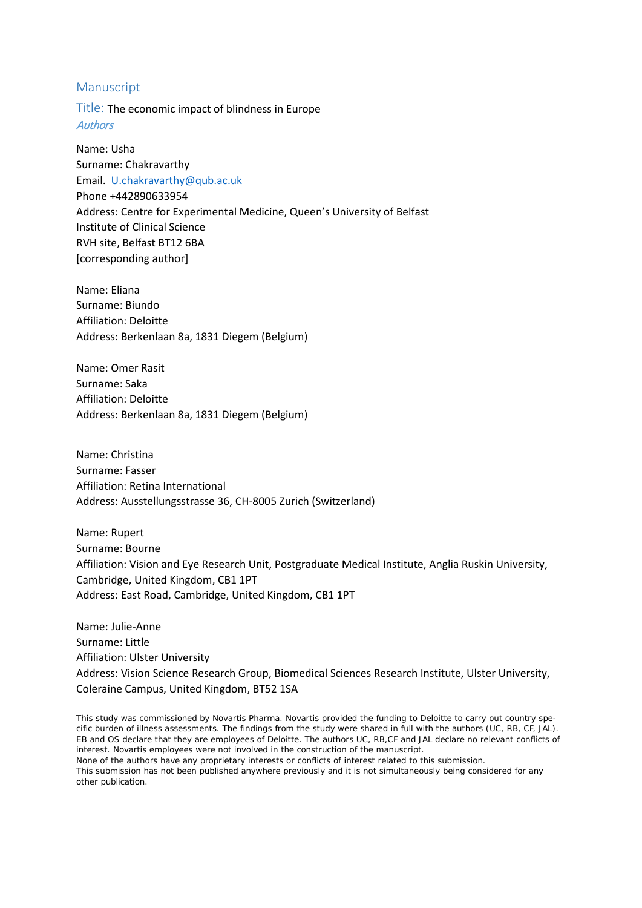# Manuscript

Title: The economic impact of blindness in Europe **Authors** 

Name: Usha Surname: Chakravarthy Email. [U.chakravarthy@qub.ac.uk](mailto:U.chakravarthy@qub.ac.uk) Phone +442890633954 Address: Centre for Experimental Medicine, Queen's University of Belfast Institute of Clinical Science RVH site, Belfast BT12 6BA [corresponding author]

Name: Eliana Surname: Biundo Affiliation: Deloitte Address: Berkenlaan 8a, 1831 Diegem (Belgium)

Name: Omer Rasit Surname: Saka Affiliation: Deloitte Address: Berkenlaan 8a, 1831 Diegem (Belgium)

Name: Christina Surname: Fasser Affiliation: Retina International Address: Ausstellungsstrasse 36, CH-8005 Zurich (Switzerland)

Name: Rupert Surname: Bourne Affiliation: Vision and Eye Research Unit, Postgraduate Medical Institute, Anglia Ruskin University, Cambridge, United Kingdom, CB1 1PT Address: East Road, Cambridge, United Kingdom, CB1 1PT

Name: Julie-Anne Surname: Little Affiliation: Ulster University Address: Vision Science Research Group, Biomedical Sciences Research Institute, Ulster University, Coleraine Campus, United Kingdom, BT52 1SA

This study was commissioned by Novartis Pharma. Novartis provided the funding to Deloitte to carry out country specific burden of illness assessments. The findings from the study were shared in full with the authors (UC, RB, CF, JAL). EB and OS declare that they are employees of Deloitte. The authors UC, RB,CF and JAL declare no relevant conflicts of interest. Novartis employees were not involved in the construction of the manuscript.

None of the authors have any proprietary interests or conflicts of interest related to this submission. This submission has not been published anywhere previously and it is not simultaneously being considered for any other publication.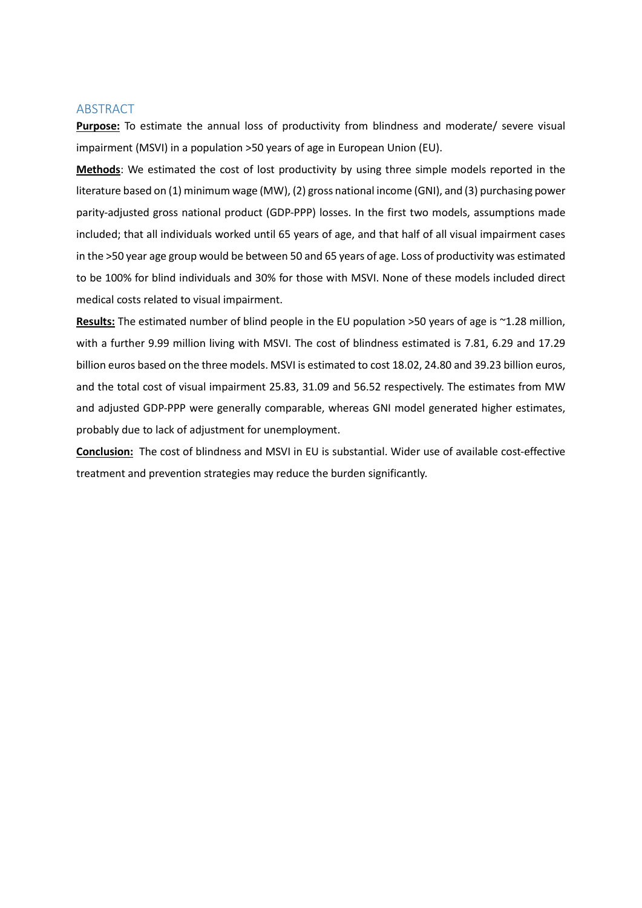# ABSTRACT

**Purpose:** To estimate the annual loss of productivity from blindness and moderate/ severe visual impairment (MSVI) in a population >50 years of age in European Union (EU).

**Methods**: We estimated the cost of lost productivity by using three simple models reported in the literature based on (1) minimum wage (MW), (2) gross national income (GNI), and (3) purchasing power parity-adjusted gross national product (GDP-PPP) losses. In the first two models, assumptions made included; that all individuals worked until 65 years of age, and that half of all visual impairment cases in the >50 year age group would be between 50 and 65 years of age. Loss of productivity was estimated to be 100% for blind individuals and 30% for those with MSVI. None of these models included direct medical costs related to visual impairment.

**Results:** The estimated number of blind people in the EU population >50 years of age is ~1.28 million, with a further 9.99 million living with MSVI. The cost of blindness estimated is 7.81, 6.29 and 17.29 billion euros based on the three models. MSVI is estimated to cost 18.02, 24.80 and 39.23 billion euros, and the total cost of visual impairment 25.83, 31.09 and 56.52 respectively. The estimates from MW and adjusted GDP-PPP were generally comparable, whereas GNI model generated higher estimates, probably due to lack of adjustment for unemployment.

**Conclusion:** The cost of blindness and MSVI in EU is substantial. Wider use of available cost-effective treatment and prevention strategies may reduce the burden significantly.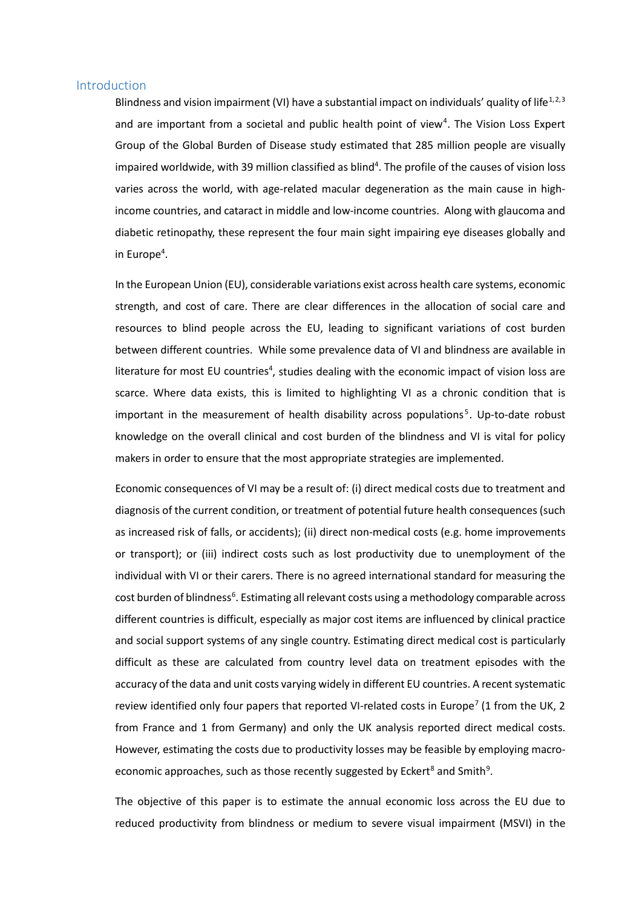### Introduction

<span id="page-2-0"></span>Blindness and vision impairment (VI) have a substantial impact on individuals' quality of life<sup>[1,](#page-9-0)[2,](#page-9-1)[3](#page-9-2)</sup> and are important from a societal and public health point of view<sup>[4](#page-9-3)</sup>. The Vision Loss Expert Group of the Global Burden of Disease study estimated that 285 million people are visually impaired worldwide, with 39 million classified as blind<sup>4</sup>. The profile of the causes of vision loss varies across the world, with age-related macular degeneration as the main cause in highincome countries, and cataract in middle and low-income countries. Along with glaucoma and diabetic retinopathy, these represent the four main sight impairing eye diseases globally and in Europe<sup>4</sup>.

In the European Union (EU), considerable variations exist across health care systems, economic strength, and cost of care. There are clear differences in the allocation of social care and resources to blind people across the EU, leading to significant variations of cost burden between different countries. While some prevalence data of VI and blindness are available in literature for most EU countries<sup>4</sup>, studies dealing with the economic impact of vision loss are scarce. Where data exists, this is limited to highlighting VI as a chronic condition that is important in the measurement of health disability across populations<sup>[5](#page-9-4)</sup>. Up-to-date robust knowledge on the overall clinical and cost burden of the blindness and VI is vital for policy makers in order to ensure that the most appropriate strategies are implemented.

Economic consequences of VI may be a result of: (i) direct medical costs due to treatment and diagnosis of the current condition, or treatment of potential future health consequences (such as increased risk of falls, or accidents); (ii) direct non-medical costs (e.g. home improvements or transport); or (iii) indirect costs such as lost productivity due to unemployment of the individual with VI or their carers. There is no agreed international standard for measuring the cost burden of blindness<sup>[6](#page-9-5)</sup>. Estimating all relevant costs using a methodology comparable across different countries is difficult, especially as major cost items are influenced by clinical practice and social support systems of any single country. Estimating direct medical cost is particularly difficult as these are calculated from country level data on treatment episodes with the accuracy of the data and unit costs varying widely in different EU countries. A recent systematic review identified only four papers that reported VI-related costs in Europe<sup>[7](#page-9-6)</sup> (1 from the UK, 2 from France and 1 from Germany) and only the UK analysis reported direct medical costs. However, estimating the costs due to productivity losses may be feasible by employing macro-economic approaches, such as those recently suggested by Eckert<sup>8</sup> and Smith<sup>[9](#page-9-8)</sup>.

<span id="page-2-3"></span><span id="page-2-2"></span><span id="page-2-1"></span>The objective of this paper is to estimate the annual economic loss across the EU due to reduced productivity from blindness or medium to severe visual impairment (MSVI) in the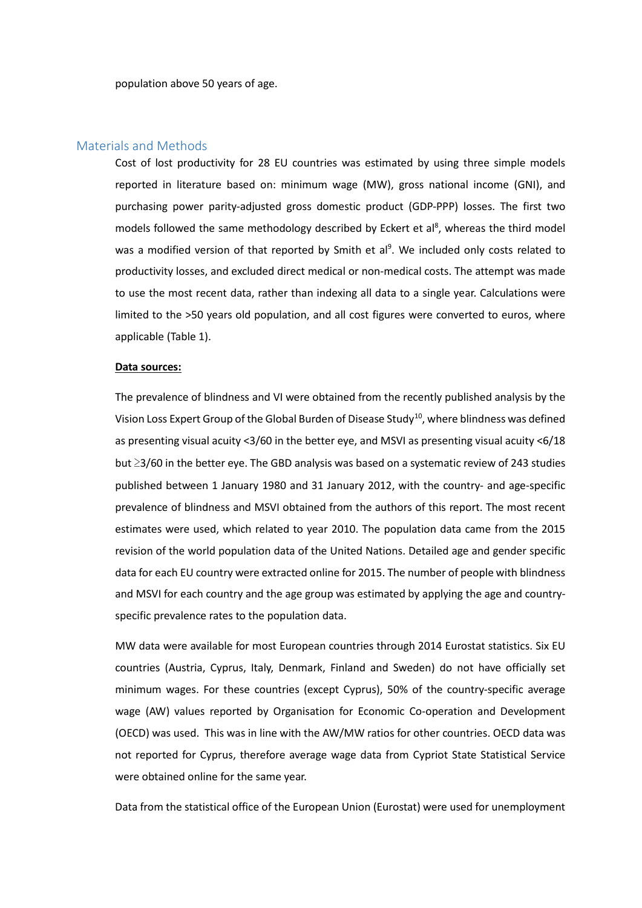population above 50 years of age.

## Materials and Methods

Cost of lost productivity for 28 EU countries was estimated by using three simple models reported in literature based on: minimum wage (MW), gross national income (GNI), and purchasing power parity-adjusted gross domestic product (GDP-PPP) losses. The first two models followed the same methodology described by Eckert et al<sup>8</sup>, whereas the third model was a modified version of that reported by Smith et al<sup>9</sup>. We included only costs related to productivity losses, and excluded direct medical or non-medical costs. The attempt was made to use the most recent data, rather than indexing all data to a single year. Calculations were limited to the >50 years old population, and all cost figures were converted to euros, where applicable (Table 1).

#### **Data sources:**

The prevalence of blindness and VI were obtained from the recently published analysis by the Vision Loss Expert Group of the Global Burden of Disease Study<sup>10</sup>, where blindness was defined as presenting visual acuity <3/60 in the better eye, and MSVI as presenting visual acuity <6/18 but ≥3/60 in the better eye. The GBD analysis was based on a systematic review of 243 studies published between 1 January 1980 and 31 January 2012, with the country- and age-specific prevalence of blindness and MSVI obtained from the authors of this report. The most recent estimates were used, which related to year 2010. The population data came from the 2015 revision of the world population data of the United Nations. Detailed age and gender specific data for each EU country were extracted online for 2015. The number of people with blindness and MSVI for each country and the age group was estimated by applying the age and countryspecific prevalence rates to the population data.

MW data were available for most European countries through 2014 Eurostat statistics. Six EU countries (Austria, Cyprus, Italy, Denmark, Finland and Sweden) do not have officially set minimum wages. For these countries (except Cyprus), 50% of the country-specific average wage (AW) values reported by Organisation for Economic Co-operation and Development (OECD) was used. This was in line with the AW/MW ratios for other countries. OECD data was not reported for Cyprus, therefore average wage data from Cypriot State Statistical Service were obtained online for the same year.

Data from the statistical office of the European Union (Eurostat) were used for unemployment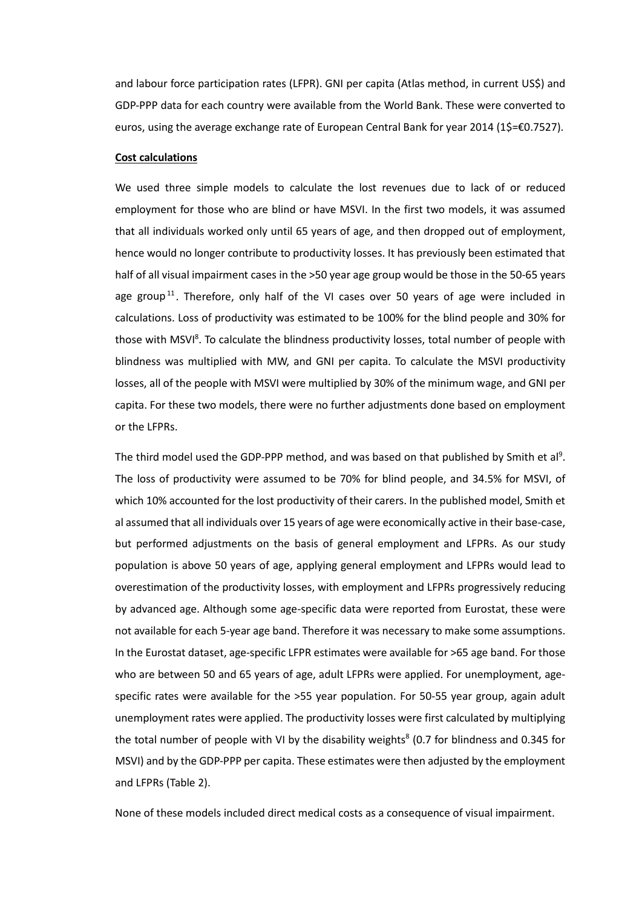and labour force participation rates (LFPR). GNI per capita (Atlas method, in current US\$) and GDP-PPP data for each country were available from the World Bank. These were converted to euros, using the average exchange rate of European Central Bank for year 2014 (1\$=€0.7527).

### **Cost calculations**

We used three simple models to calculate the lost revenues due to lack of or reduced employment for those who are blind or have MSVI. In the first two models, it was assumed that all individuals worked only until 65 years of age, and then dropped out of employment, hence would no longer contribute to productivity losses. It has previously been estimated that half of all visual impairment cases in the >50 year age group would be those in the 50-65 years age group<sup>[11](#page-9-10)</sup>. Therefore, only half of the VI cases over 50 years of age were included in calculations. Loss of productivity was estimated to be 100% for the blind people and 30% for those with MSVI<sup>8</sup>. To calculate the blindness productivity losses, total number of people with blindness was multiplied with MW, and GNI per capita. To calculate the MSVI productivity losses, all of the people with MSVI were multiplied by 30% of the minimum wage, and GNI per capita. For these two models, there were no further adjustments done based on employment or the LFPRs.

The third model used the GDP-PPP method, and was based on that published by Smith et al<sup>9</sup>. The loss of productivity were assumed to be 70% for blind people, and 34.5% for MSVI, of which 10% accounted for the lost productivity of their carers. In the published model, Smith et al assumed that all individuals over 15 years of age were economically active in their base-case, but performed adjustments on the basis of general employment and LFPRs. As our study population is above 50 years of age, applying general employment and LFPRs would lead to overestimation of the productivity losses, with employment and LFPRs progressively reducing by advanced age. Although some age-specific data were reported from Eurostat, these were not available for each 5-year age band. Therefore it was necessary to make some assumptions. In the Eurostat dataset, age-specific LFPR estimates were available for >65 age band. For those who are between 50 and 65 years of age, adult LFPRs were applied. For unemployment, agespecific rates were available for the >55 year population. For 50-55 year group, again adult unemployment rates were applied. The productivity losses were first calculated by multiplying the total number of people with VI by the disability weights<sup>8</sup> (0.7 for blindness and 0.345 for MSVI) and by the GDP-PPP per capita. These estimates were then adjusted by the employment and LFPRs (Table 2).

None of these models included direct medical costs as a consequence of visual impairment.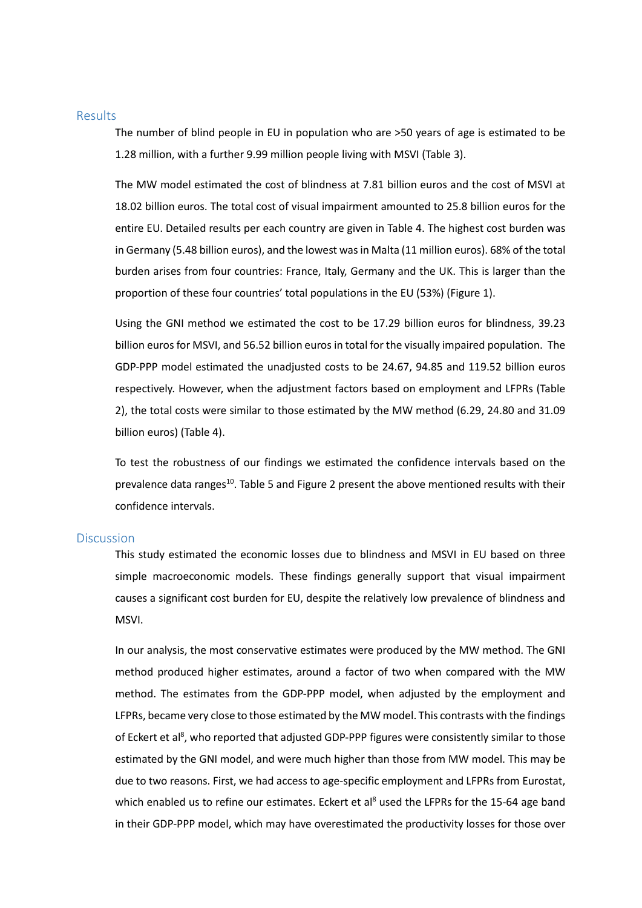#### Results

The number of blind people in EU in population who are >50 years of age is estimated to be 1.28 million, with a further 9.99 million people living with MSVI (Table 3).

The MW model estimated the cost of blindness at 7.81 billion euros and the cost of MSVI at 18.02 billion euros. The total cost of visual impairment amounted to 25.8 billion euros for the entire EU. Detailed results per each country are given in Table 4. The highest cost burden was in Germany (5.48 billion euros), and the lowest was in Malta (11 million euros). 68% of the total burden arises from four countries: France, Italy, Germany and the UK. This is larger than the proportion of these four countries' total populations in the EU (53%) (Figure 1).

Using the GNI method we estimated the cost to be 17.29 billion euros for blindness, 39.23 billion euros for MSVI, and 56.52 billion euros in total for the visually impaired population. The GDP-PPP model estimated the unadjusted costs to be 24.67, 94.85 and 119.52 billion euros respectively. However, when the adjustment factors based on employment and LFPRs (Table 2), the total costs were similar to those estimated by the MW method (6.29, 24.80 and 31.09 billion euros) (Table 4).

To test the robustness of our findings we estimated the confidence intervals based on the prevalence data ranges<sup>10</sup>. Table 5 and Figure 2 present the above mentioned results with their confidence intervals.

# **Discussion**

This study estimated the economic losses due to blindness and MSVI in EU based on three simple macroeconomic models. These findings generally support that visual impairment causes a significant cost burden for EU, despite the relatively low prevalence of blindness and MSVI.

In our analysis, the most conservative estimates were produced by the MW method. The GNI method produced higher estimates, around a factor of two when compared with the MW method. The estimates from the GDP-PPP model, when adjusted by the employment and LFPRs, became very close to those estimated by the MW model. This contrasts with the findings of Eckert et al<sup>8</sup>, who reported that adjusted GDP-PPP figures were consistently similar to those estimated by the GNI model, and were much higher than those from MW model. This may be due to two reasons. First, we had access to age-specific employment and LFPRs from Eurostat, which enabled us to refine our estimates. Eckert et al<sup>8</sup> used the LFPRs for the 15-64 age band in their GDP-PPP model, which may have overestimated the productivity losses for those over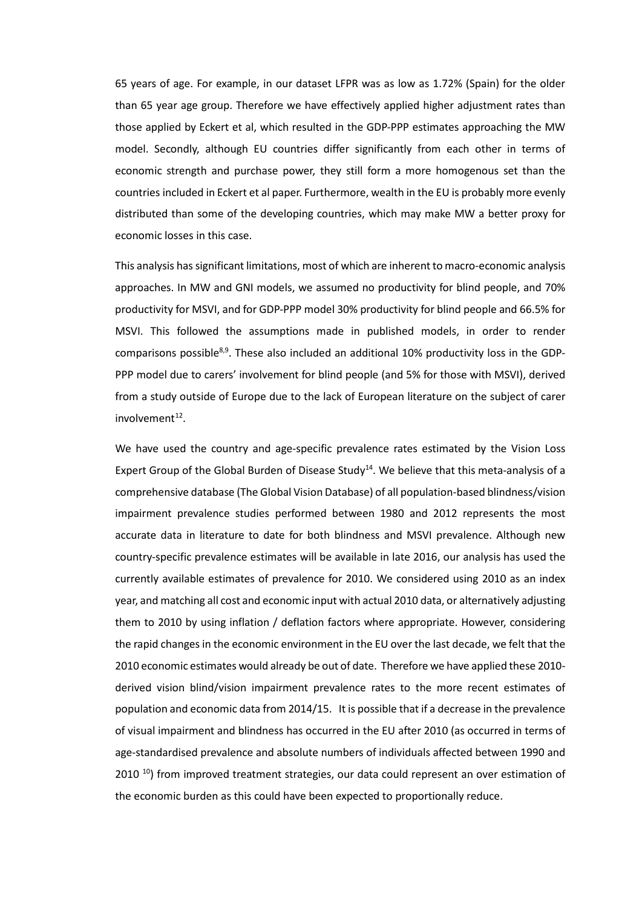65 years of age. For example, in our dataset LFPR was as low as 1.72% (Spain) for the older than 65 year age group. Therefore we have effectively applied higher adjustment rates than those applied by Eckert et al, which resulted in the GDP-PPP estimates approaching the MW model. Secondly, although EU countries differ significantly from each other in terms of economic strength and purchase power, they still form a more homogenous set than the countries included in Eckert et al paper. Furthermore, wealth in the EU is probably more evenly distributed than some of the developing countries, which may make MW a better proxy for economic losses in this case.

This analysis has significant limitations, most of which are inherent to macro-economic analysis approaches. In MW and GNI models, we assumed no productivity for blind people, and 70% productivity for MSVI, and for GDP-PPP model 30% productivity for blind people and 66.5% for MSVI. This followed the assumptions made in published models, in order to render comparisons possible<sup>8,9</sup>. These also included an additional 10% productivity loss in the GDP-PPP model due to carers' involvement for blind people (and 5% for those with MSVI), derived from a study outside of Europe due to the lack of European literature on the subject of carer  $involvement<sup>12</sup>$ .

We have used the country and age-specific prevalence rates estimated by the Vision Loss Expert Group of the Global Burden of Disease Study<sup>14</sup>. We believe that this meta-analysis of a comprehensive database (The Global Vision Database) of all population-based blindness/vision impairment prevalence studies performed between 1980 and 2012 represents the most accurate data in literature to date for both blindness and MSVI prevalence. Although new country-specific prevalence estimates will be available in late 2016, our analysis has used the currently available estimates of prevalence for 2010. We considered using 2010 as an index year, and matching all cost and economic input with actual 2010 data, or alternatively adjusting them to 2010 by using inflation / deflation factors where appropriate. However, considering the rapid changes in the economic environment in the EU over the last decade, we felt that the 2010 economic estimates would already be out of date. Therefore we have applied these 2010 derived vision blind/vision impairment prevalence rates to the more recent estimates of population and economic data from 2014/15. It is possible that if a decrease in the prevalence of visual impairment and blindness has occurred in the EU after 2010 (as occurred in terms of age-standardised prevalence and absolute numbers of individuals affected between 1990 and  $2010<sup>10</sup>$  from improved treatment strategies, our data could represent an over estimation of the economic burden as this could have been expected to proportionally reduce.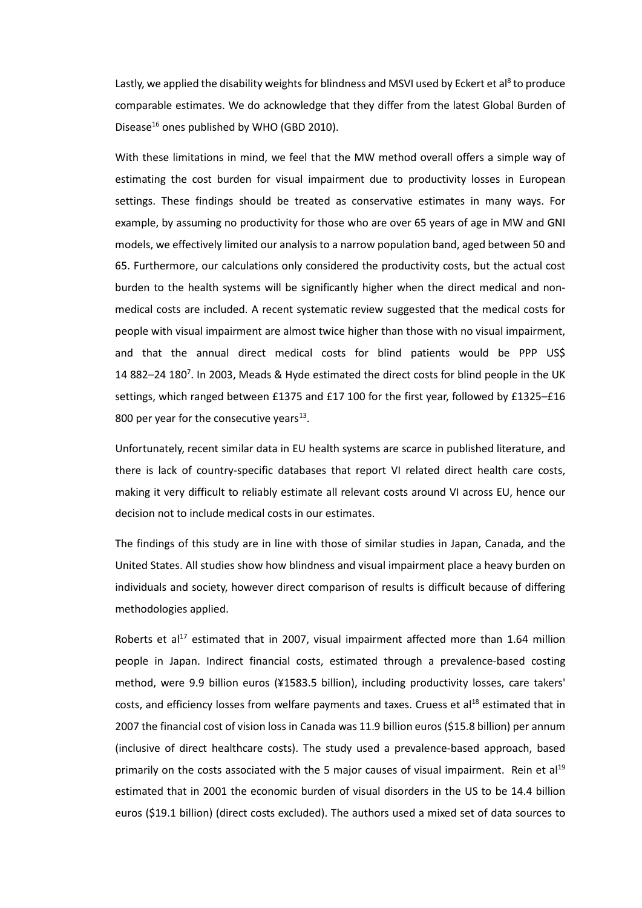Lastly, we applied the disability weights for blindness and MSVI used by Eckert et al<sup>8</sup> to produce comparable estimates. We do acknowledge that they differ from the latest Global Burden of Disease<sup>16</sup> ones published by WHO (GBD 2010).

With these limitations in mind, we feel that the MW method overall offers a simple way of estimating the cost burden for visual impairment due to productivity losses in European settings. These findings should be treated as conservative estimates in many ways. For example, by assuming no productivity for those who are over 65 years of age in MW and GNI models, we effectively limited our analysis to a narrow population band, aged between 50 and 65. Furthermore, our calculations only considered the productivity costs, but the actual cost burden to the health systems will be significantly higher when the direct medical and nonmedical costs are included. A recent systematic review suggested that the medical costs for people with visual impairment are almost twice higher than those with no visual impairment, and that the annual direct medical costs for blind patients would be PPP US\$ 14 882-24 180<sup>7</sup>. In 2003, Meads & Hyde estimated the direct costs for blind people in the UK settings, which ranged between £1375 and £17 100 for the first year, followed by £1325–£16 800 per year for the consecutive years $^{13}$ .

Unfortunately, recent similar data in EU health systems are scarce in published literature, and there is lack of country-specific databases that report VI related direct health care costs, making it very difficult to reliably estimate all relevant costs around VI across EU, hence our decision not to include medical costs in our estimates.

The findings of this study are in line with those of similar studies in Japan, Canada, and the United States. All studies show how blindness and visual impairment place a heavy burden on individuals and society, however direct comparison of results is difficult because of differing methodologies applied.

Roberts et al<sup>17</sup> estimated that in 2007, visual impairment affected more than 1.64 million people in Japan. Indirect financial costs, estimated through a prevalence-based costing method, were 9.9 billion euros (¥1583.5 billion), including productivity losses, care takers' costs, and efficiency losses from welfare payments and taxes. Cruess et al<sup>18</sup> estimated that in 2007 the financial cost of vision loss in Canada was 11.9 billion euros (\$15.8 billion) per annum (inclusive of direct healthcare costs). The study used a prevalence-based approach, based primarily on the costs associated with the 5 major causes of visual impairment. Rein et al<sup>19</sup> estimated that in 2001 the economic burden of visual disorders in the US to be 14.4 billion euros (\$19.1 billion) (direct costs excluded). The authors used a mixed set of data sources to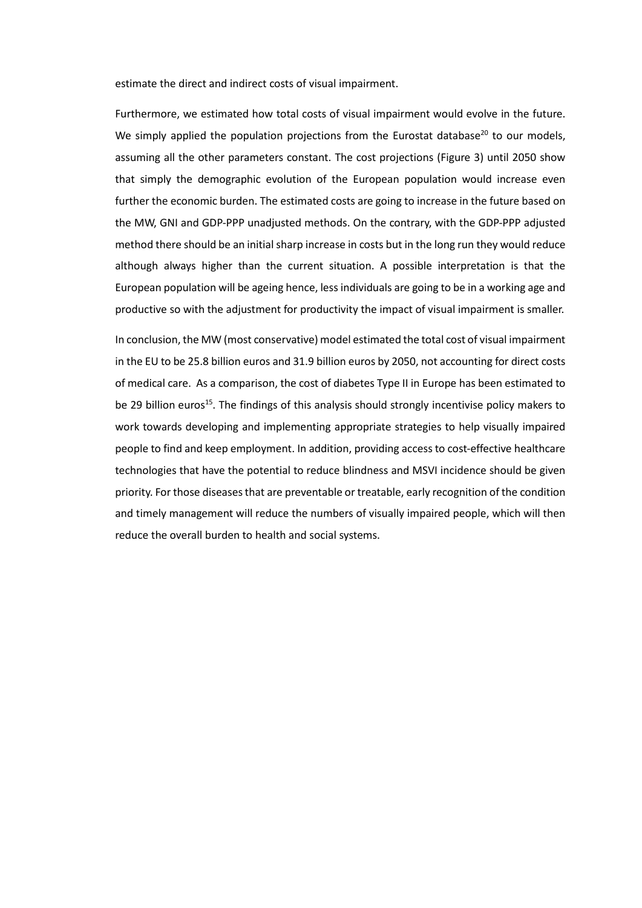estimate the direct and indirect costs of visual impairment.

Furthermore, we estimated how total costs of visual impairment would evolve in the future. We simply applied the population projections from the Eurostat database $^{20}$  to our models, assuming all the other parameters constant. The cost projections (Figure 3) until 2050 show that simply the demographic evolution of the European population would increase even further the economic burden. The estimated costs are going to increase in the future based on the MW, GNI and GDP-PPP unadjusted methods. On the contrary, with the GDP-PPP adjusted method there should be an initial sharp increase in costs but in the long run they would reduce although always higher than the current situation. A possible interpretation is that the European population will be ageing hence, less individuals are going to be in a working age and productive so with the adjustment for productivity the impact of visual impairment is smaller.

In conclusion, the MW (most conservative) model estimated the total cost of visual impairment in the EU to be 25.8 billion euros and 31.9 billion euros by 2050, not accounting for direct costs of medical care. As a comparison, the cost of diabetes Type II in Europe has been estimated to be 29 billion euros<sup>15</sup>. The findings of this analysis should strongly incentivise policy makers to work towards developing and implementing appropriate strategies to help visually impaired people to find and keep employment. In addition, providing access to cost-effective healthcare technologies that have the potential to reduce blindness and MSVI incidence should be given priority. For those diseases that are preventable or treatable, early recognition of the condition and timely management will reduce the numbers of visually impaired people, which will then reduce the overall burden to health and social systems.